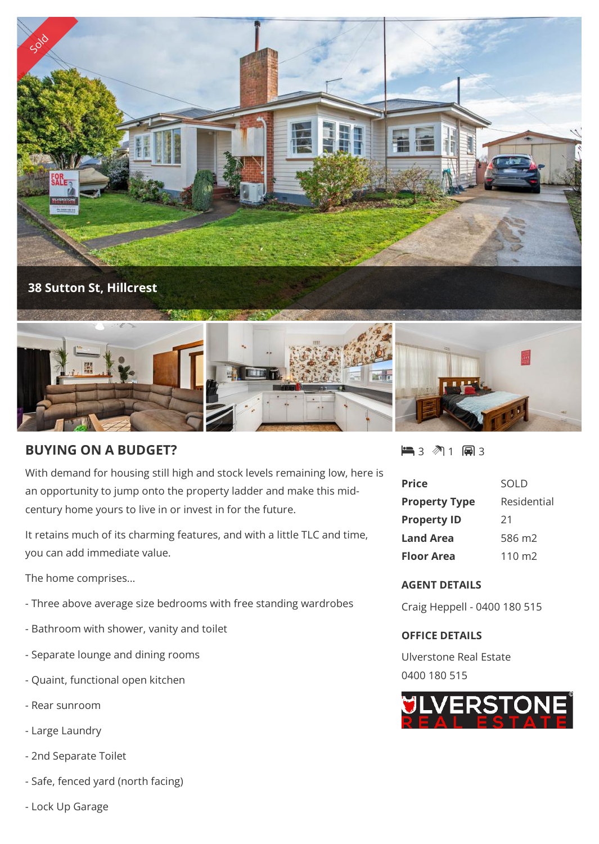

## **BUYING ON A BUDGET?**

With demand for housing still high and stock levels remaining low, here is an opportunity to jump onto the property ladder and make this midcentury home yours to live in or invest in for the future.

It retains much of its charming features, and with a little TLC and time, you can add immediate value.

The home comprises...

- Three above average size bedrooms with free standing wardrobes
- Bathroom with shower, vanity and toilet
- Separate lounge and dining rooms
- Quaint, functional open kitchen
- Rear sunroom
- Large Laundry
- 2nd Separate Toilet
- Safe, fenced yard (north facing)
- Lock Up Garage



| <b>Price</b>         | SOLD            |
|----------------------|-----------------|
| <b>Property Type</b> | Residential     |
| <b>Property ID</b>   | 21              |
| <b>Land Area</b>     | 586 m2          |
| <b>Floor Area</b>    | $110 \text{ m}$ |

## **AGENT DETAILS**

Craig Heppell - 0400 180 515

## **OFFICE DETAILS**

Ulverstone Real Estate 0400 180 515